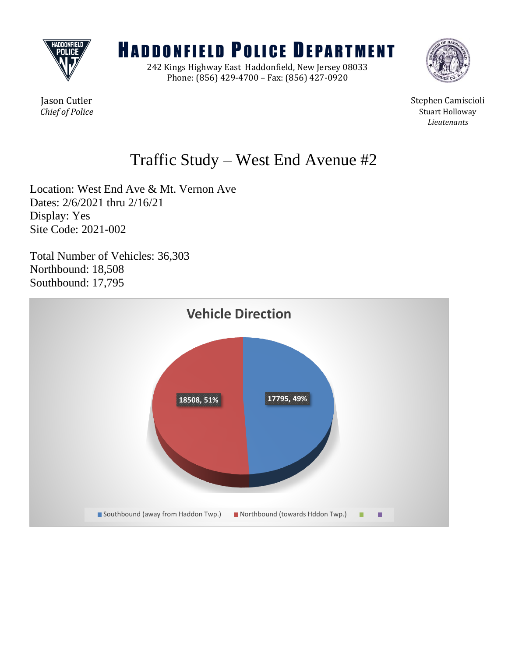

# **HADDONFIELD POLICE DEPARTMENT**

242 Kings Highway East Haddonfield, New Jersey 08033 Phone: (856) 429-4700 – Fax: (856) 427-0920



Jason Cutler Stephen Camiscioli **Chief of Police** Stuart Holloway *Lieutenants*

## Traffic Study – West End Avenue #2

Location: West End Ave & Mt. Vernon Ave Dates: 2/6/2021 thru 2/16/21 Display: Yes Site Code: 2021-002

Total Number of Vehicles: 36,303 Northbound: 18,508 Southbound: 17,795